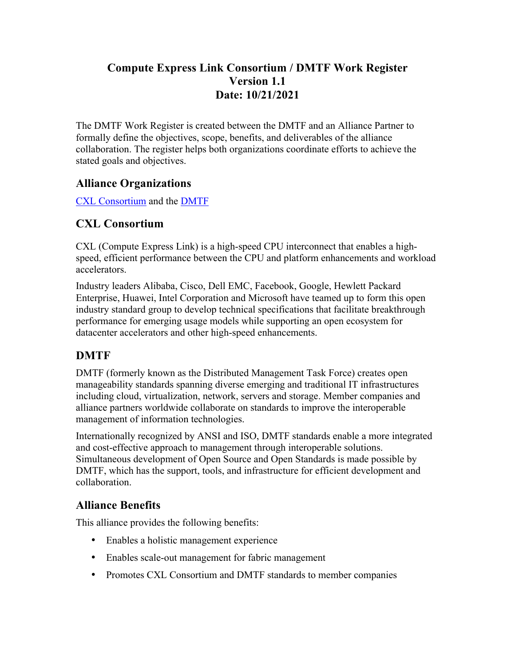## **Compute Express Link Consortium / DMTF Work Register Version 1.1 Date: 10/21/2021**

The DMTF Work Register is created between the DMTF and an Alliance Partner to formally define the objectives, scope, benefits, and deliverables of the alliance collaboration. The register helps both organizations coordinate efforts to achieve the stated goals and objectives.

### **Alliance Organizations**

CXL Consortium and the DMTF

## **CXL Consortium**

CXL (Compute Express Link) is a high-speed CPU interconnect that enables a highspeed, efficient performance between the CPU and platform enhancements and workload accelerators.

Industry leaders Alibaba, Cisco, Dell EMC, Facebook, Google, Hewlett Packard Enterprise, Huawei, Intel Corporation and Microsoft have teamed up to form this open industry standard group to develop technical specifications that facilitate breakthrough performance for emerging usage models while supporting an open ecosystem for datacenter accelerators and other high-speed enhancements.

# **DMTF**

DMTF (formerly known as the Distributed Management Task Force) creates open manageability standards spanning diverse emerging and traditional IT infrastructures including cloud, virtualization, network, servers and storage. Member companies and alliance partners worldwide collaborate on standards to improve the interoperable management of information technologies.

Internationally recognized by ANSI and ISO, DMTF standards enable a more integrated and cost-effective approach to management through interoperable solutions. Simultaneous development of Open Source and Open Standards is made possible by DMTF, which has the support, tools, and infrastructure for efficient development and collaboration.

# **Alliance Benefits**

This alliance provides the following benefits:

- Enables a holistic management experience
- Enables scale-out management for fabric management
- Promotes CXL Consortium and DMTF standards to member companies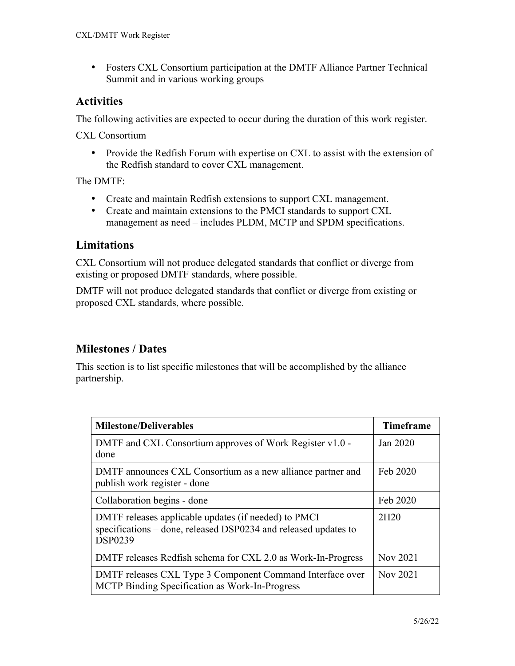• Fosters CXL Consortium participation at the DMTF Alliance Partner Technical Summit and in various working groups

### **Activities**

The following activities are expected to occur during the duration of this work register.

CXL Consortium

• Provide the Redfish Forum with expertise on CXL to assist with the extension of the Redfish standard to cover CXL management.

The DMTF:

- Create and maintain Redfish extensions to support CXL management.
- Create and maintain extensions to the PMCI standards to support CXL management as need – includes PLDM, MCTP and SPDM specifications.

### **Limitations**

CXL Consortium will not produce delegated standards that conflict or diverge from existing or proposed DMTF standards, where possible.

DMTF will not produce delegated standards that conflict or diverge from existing or proposed CXL standards, where possible.

## **Milestones / Dates**

This section is to list specific milestones that will be accomplished by the alliance partnership.

| <b>Milestone/Deliverables</b>                                                                                                             | <b>Timeframe</b> |
|-------------------------------------------------------------------------------------------------------------------------------------------|------------------|
| DMTF and CXL Consortium approves of Work Register v1.0 -<br>done                                                                          | Jan 2020         |
| DMTF announces CXL Consortium as a new alliance partner and<br>publish work register - done                                               | Feb 2020         |
| Collaboration begins - done                                                                                                               | Feb 2020         |
| DMTF releases applicable updates (if needed) to PMCI<br>specifications – done, released DSP0234 and released updates to<br><b>DSP0239</b> | 2H <sub>20</sub> |
| DMTF releases Redfish schema for CXL 2.0 as Work-In-Progress                                                                              | Nov 2021         |
| DMTF releases CXL Type 3 Component Command Interface over<br>MCTP Binding Specification as Work-In-Progress                               | Nov 2021         |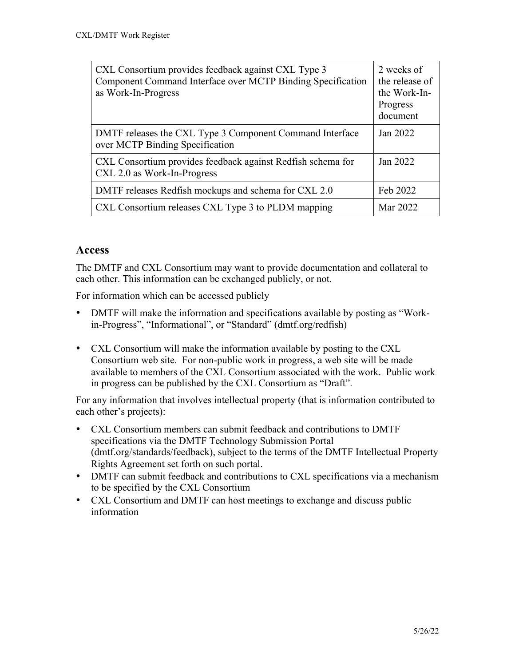| CXL Consortium provides feedback against CXL Type 3<br>Component Command Interface over MCTP Binding Specification<br>as Work-In-Progress | 2 weeks of<br>the release of<br>the Work-In-<br>Progress<br>document |
|-------------------------------------------------------------------------------------------------------------------------------------------|----------------------------------------------------------------------|
| DMTF releases the CXL Type 3 Component Command Interface<br>over MCTP Binding Specification                                               | Jan 2022                                                             |
| CXL Consortium provides feedback against Redfish schema for<br>CXL 2.0 as Work-In-Progress                                                | Jan 2022                                                             |
| DMTF releases Redfish mockups and schema for CXL 2.0                                                                                      | Feb 2022                                                             |
| CXL Consortium releases CXL Type 3 to PLDM mapping                                                                                        | Mar 2022                                                             |

### **Access**

The DMTF and CXL Consortium may want to provide documentation and collateral to each other. This information can be exchanged publicly, or not.

For information which can be accessed publicly

- DMTF will make the information and specifications available by posting as "Workin-Progress", "Informational", or "Standard" (dmtf.org/redfish)
- CXL Consortium will make the information available by posting to the CXL Consortium web site. For non-public work in progress, a web site will be made available to members of the CXL Consortium associated with the work. Public work in progress can be published by the CXL Consortium as "Draft".

For any information that involves intellectual property (that is information contributed to each other's projects):

- CXL Consortium members can submit feedback and contributions to DMTF specifications via the DMTF Technology Submission Portal (dmtf.org/standards/feedback), subject to the terms of the DMTF Intellectual Property Rights Agreement set forth on such portal.
- DMTF can submit feedback and contributions to CXL specifications via a mechanism to be specified by the CXL Consortium
- CXL Consortium and DMTF can host meetings to exchange and discuss public information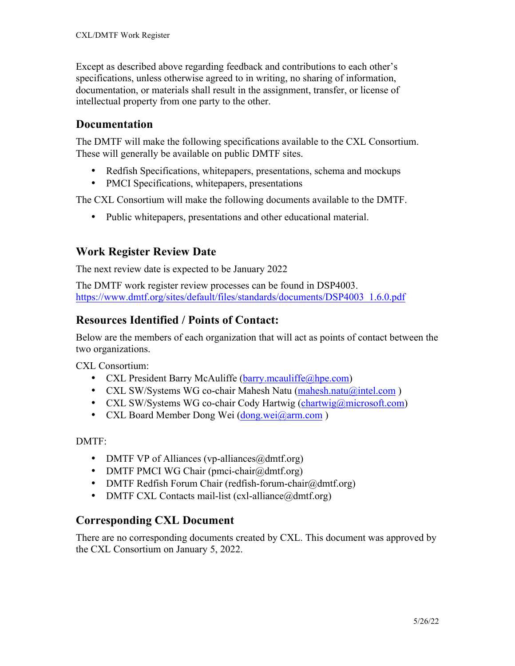Except as described above regarding feedback and contributions to each other's specifications, unless otherwise agreed to in writing, no sharing of information, documentation, or materials shall result in the assignment, transfer, or license of intellectual property from one party to the other.

#### **Documentation**

The DMTF will make the following specifications available to the CXL Consortium. These will generally be available on public DMTF sites.

- Redfish Specifications, whitepapers, presentations, schema and mockups
- PMCI Specifications, white papers, presentations

The CXL Consortium will make the following documents available to the DMTF.

• Public whitepapers, presentations and other educational material.

## **Work Register Review Date**

The next review date is expected to be January 2022

The DMTF work register review processes can be found in DSP4003. https://www.dmtf.org/sites/default/files/standards/documents/DSP4003\_1.6.0.pdf

### **Resources Identified / Points of Contact:**

Below are the members of each organization that will act as points of contact between the two organizations.

CXL Consortium:

- CXL President Barry McAuliffe (barry.mcauliffe@hpe.com)
- CXL SW/Systems WG co-chair Mahesh Natu (mahesh.natu@intel.com)
- CXL SW/Systems WG co-chair Cody Hartwig (chartwig@microsoft.com)
- CXL Board Member Dong Wei (dong.wei@arm.com)

DMTF:

- DMTF VP of Alliances (vp-alliances  $(\partial \phi)$ dmtf.org)
- DMTF PMCI WG Chair (pmci-chair@dmtf.org)
- DMTF Redfish Forum Chair (redfish-forum-chair@dmtf.org)
- DMTF CXL Contacts mail-list (cxl-alliance  $(\partial \phi)$  dmtf.org)

#### **Corresponding CXL Document**

There are no corresponding documents created by CXL. This document was approved by the CXL Consortium on January 5, 2022.